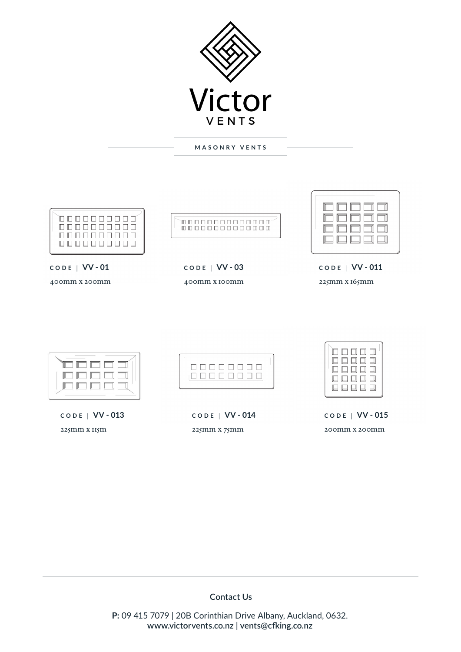

**MASONRY VENTS**

|--|

**CODE** | **VV - 01**

400mm x 200mm

**CODE** | **VV - 03** 400mm x 100mm

.<br>COOOOOOOOOOOO

 $\mathcal{L}$ EN F F  $\Box$ T П I  $\Box$ **CODE** | **VV - 011**

 $\Box$   $\Box$   $\Box$ 

 $\overline{\phantom{a}}$ 

225mm x 165mm



**CODE** | **VV - 013** 225mm x 115m



**CODE** | **VV - 014** 225mm x 75mm

| 口口口口口<br>口口口口口<br>口口口口口<br>口口口口口<br>口口口口口 |
|-------------------------------------------|
|-------------------------------------------|

**CODE** | **VV - 015** 200mm x 200mm

## **Contact Us**

**P:** 09 415 7079 | 20B Corinthian Drive Albany, Auckland, 0632. **www.victorvents.co.nz | vents@cfking.co.nz**